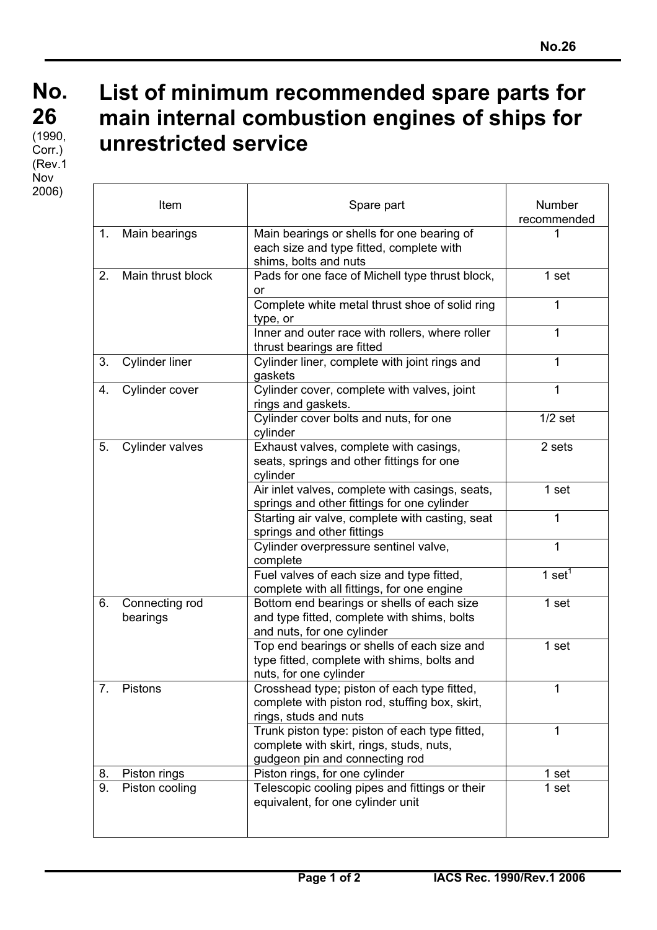## **No. No. 26 26**  $(1990,$ Corr.) (Rev.1 Nov 2006)

## **List of minimum recommended spare parts for main internal combustion engines of ships for unrestricted service**

|    | Item                       | Spare part                                                                                                                   | Number<br>recommended |
|----|----------------------------|------------------------------------------------------------------------------------------------------------------------------|-----------------------|
| 1. | Main bearings              | Main bearings or shells for one bearing of<br>each size and type fitted, complete with<br>shims, bolts and nuts              |                       |
| 2. | Main thrust block          | Pads for one face of Michell type thrust block,<br>or                                                                        | 1 set                 |
|    |                            | Complete white metal thrust shoe of solid ring<br>type, or                                                                   | 1                     |
|    |                            | Inner and outer race with rollers, where roller<br>thrust bearings are fitted                                                | 1                     |
| 3. | <b>Cylinder liner</b>      | Cylinder liner, complete with joint rings and<br>gaskets                                                                     | $\mathbf{1}$          |
| 4. | Cylinder cover             | Cylinder cover, complete with valves, joint<br>rings and gaskets.                                                            | 1                     |
|    |                            | Cylinder cover bolts and nuts, for one<br>cylinder                                                                           | $1/2$ set             |
| 5. | <b>Cylinder valves</b>     | Exhaust valves, complete with casings,<br>seats, springs and other fittings for one<br>cylinder                              | 2 sets                |
|    |                            | Air inlet valves, complete with casings, seats,<br>springs and other fittings for one cylinder                               | 1 set                 |
|    |                            | Starting air valve, complete with casting, seat<br>springs and other fittings                                                | 1                     |
|    |                            | Cylinder overpressure sentinel valve,<br>complete                                                                            | $\mathbf{1}$          |
|    |                            | Fuel valves of each size and type fitted,<br>complete with all fittings, for one engine                                      | 1 set <sup>1</sup>    |
| 6. | Connecting rod<br>bearings | Bottom end bearings or shells of each size<br>and type fitted, complete with shims, bolts<br>and nuts, for one cylinder      | 1 set                 |
|    |                            | Top end bearings or shells of each size and<br>type fitted, complete with shims, bolts and<br>nuts, for one cylinder         | 1 set                 |
| 7. | Pistons                    | Crosshead type; piston of each type fitted,<br>complete with piston rod, stuffing box, skirt,<br>rings, studs and nuts       | 1                     |
|    |                            | Trunk piston type: piston of each type fitted,<br>complete with skirt, rings, studs, nuts,<br>gudgeon pin and connecting rod | 1                     |
| 8. | Piston rings               | Piston rings, for one cylinder                                                                                               | 1 set                 |
| 9. | Piston cooling             | Telescopic cooling pipes and fittings or their<br>equivalent, for one cylinder unit                                          | 1 set                 |